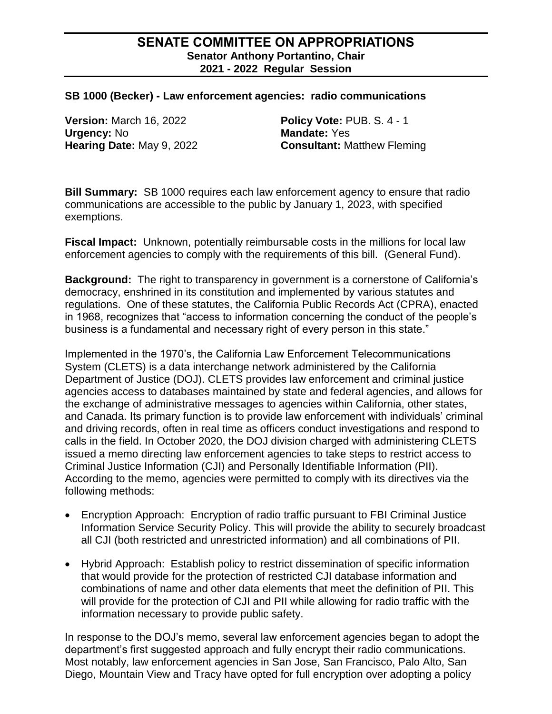### **SENATE COMMITTEE ON APPROPRIATIONS Senator Anthony Portantino, Chair 2021 - 2022 Regular Session**

#### **SB 1000 (Becker) - Law enforcement agencies: radio communications**

**Version:** March 16, 2022 **Policy Vote:** PUB. S. 4 - 1 **Urgency:** No **Mandate:**  $Yes$ 

**Hearing Date:** May 9, 2022 **Consultant:** Matthew Fleming

**Bill Summary:** SB 1000 requires each law enforcement agency to ensure that radio communications are accessible to the public by January 1, 2023, with specified exemptions.

**Fiscal Impact:** Unknown, potentially reimbursable costs in the millions for local law enforcement agencies to comply with the requirements of this bill. (General Fund).

**Background:** The right to transparency in government is a cornerstone of California's democracy, enshrined in its constitution and implemented by various statutes and regulations. One of these statutes, the California Public Records Act (CPRA), enacted in 1968, recognizes that "access to information concerning the conduct of the people's business is a fundamental and necessary right of every person in this state."

Implemented in the 1970's, the California Law Enforcement Telecommunications System (CLETS) is a data interchange network administered by the California Department of Justice (DOJ). CLETS provides law enforcement and criminal justice agencies access to databases maintained by state and federal agencies, and allows for the exchange of administrative messages to agencies within California, other states, and Canada. Its primary function is to provide law enforcement with individuals' criminal and driving records, often in real time as officers conduct investigations and respond to calls in the field. In October 2020, the DOJ division charged with administering CLETS issued a memo directing law enforcement agencies to take steps to restrict access to Criminal Justice Information (CJI) and Personally Identifiable Information (PII). According to the memo, agencies were permitted to comply with its directives via the following methods:

- Encryption Approach: Encryption of radio traffic pursuant to FBI Criminal Justice Information Service Security Policy. This will provide the ability to securely broadcast all CJI (both restricted and unrestricted information) and all combinations of PII.
- Hybrid Approach: Establish policy to restrict dissemination of specific information that would provide for the protection of restricted CJI database information and combinations of name and other data elements that meet the definition of PII. This will provide for the protection of CJI and PII while allowing for radio traffic with the information necessary to provide public safety.

In response to the DOJ's memo, several law enforcement agencies began to adopt the department's first suggested approach and fully encrypt their radio communications. Most notably, law enforcement agencies in San Jose, San Francisco, Palo Alto, San Diego, Mountain View and Tracy have opted for full encryption over adopting a policy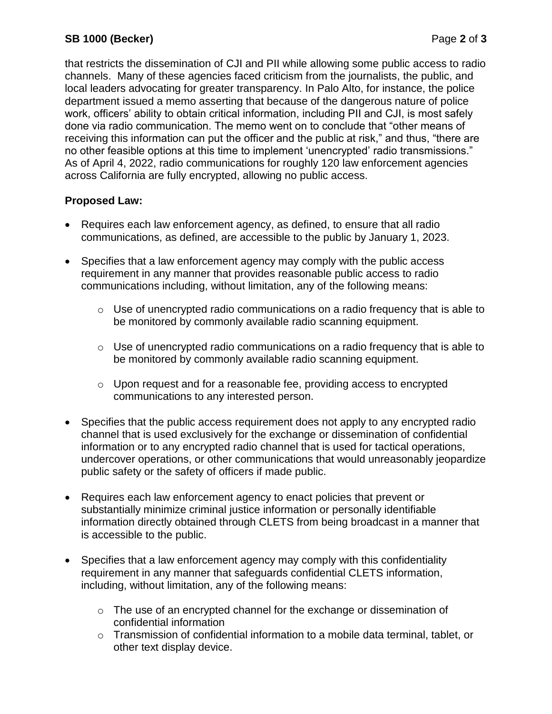# **SB 1000 (Becker)** Page **2** of **3**

that restricts the dissemination of CJI and PII while allowing some public access to radio channels. Many of these agencies faced criticism from the journalists, the public, and local leaders advocating for greater transparency. In Palo Alto, for instance, the police department issued a memo asserting that because of the dangerous nature of police work, officers' ability to obtain critical information, including PII and CJI, is most safely done via radio communication. The memo went on to conclude that "other means of receiving this information can put the officer and the public at risk," and thus, "there are no other feasible options at this time to implement 'unencrypted' radio transmissions." As of April 4, 2022, radio communications for roughly 120 law enforcement agencies across California are fully encrypted, allowing no public access.

# **Proposed Law:**

- Requires each law enforcement agency, as defined, to ensure that all radio communications, as defined, are accessible to the public by January 1, 2023.
- Specifies that a law enforcement agency may comply with the public access requirement in any manner that provides reasonable public access to radio communications including, without limitation, any of the following means:
	- $\circ$  Use of unencrypted radio communications on a radio frequency that is able to be monitored by commonly available radio scanning equipment.
	- $\circ$  Use of unencrypted radio communications on a radio frequency that is able to be monitored by commonly available radio scanning equipment.
	- $\circ$  Upon request and for a reasonable fee, providing access to encrypted communications to any interested person.
- Specifies that the public access requirement does not apply to any encrypted radio channel that is used exclusively for the exchange or dissemination of confidential information or to any encrypted radio channel that is used for tactical operations, undercover operations, or other communications that would unreasonably jeopardize public safety or the safety of officers if made public.
- Requires each law enforcement agency to enact policies that prevent or substantially minimize criminal justice information or personally identifiable information directly obtained through CLETS from being broadcast in a manner that is accessible to the public.
- Specifies that a law enforcement agency may comply with this confidentiality requirement in any manner that safeguards confidential CLETS information, including, without limitation, any of the following means:
	- o The use of an encrypted channel for the exchange or dissemination of confidential information
	- o Transmission of confidential information to a mobile data terminal, tablet, or other text display device.